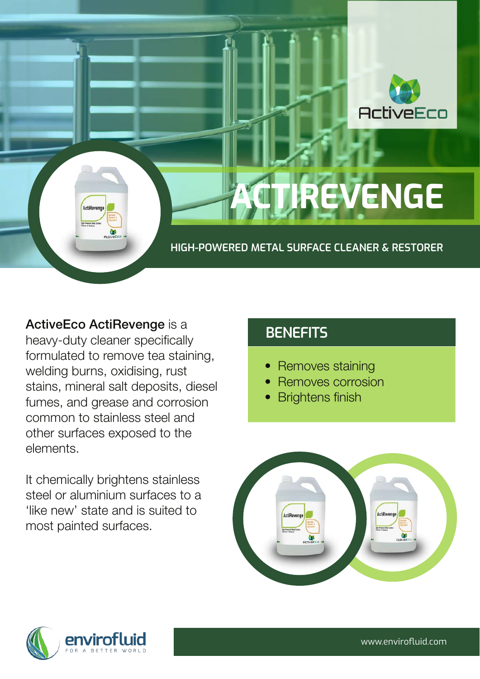

**TIREVENGE** 

**HIGH-POWERED METAL SURFACE CLEANER & RESTORER**

ActiveEco ActiRevenge is a heavy-duty cleaner specifically formulated to remove tea staining, welding burns, oxidising, rust stains, mineral salt deposits, diesel fumes, and grease and corrosion common to stainless steel and other surfaces exposed to the elements.

ActiReve

It chemically brightens stainless steel or aluminium surfaces to a 'like new' state and is suited to most painted surfaces.

#### **BENEFITS**

- **Removes staining**
- Removes corrosion
- **Brightens finish**